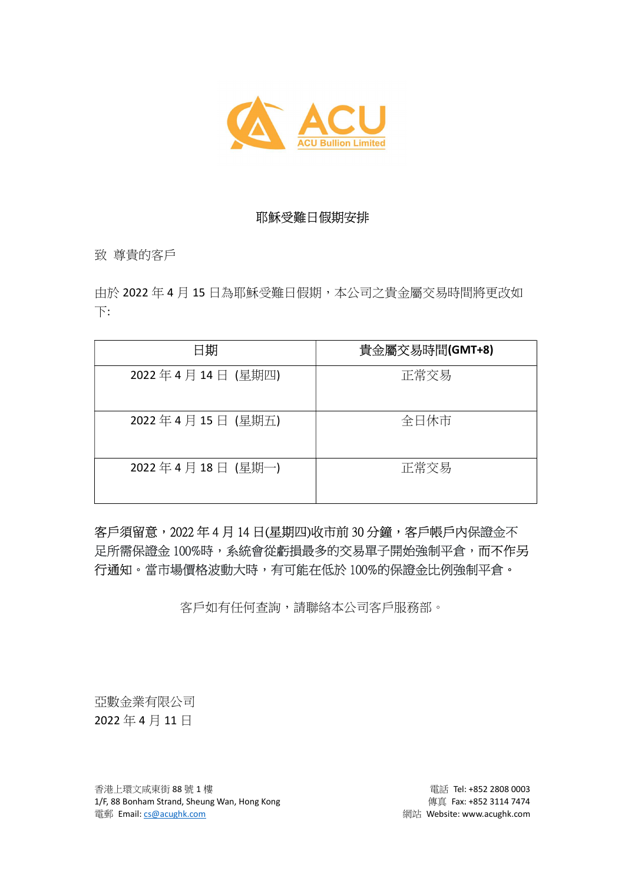

## 耶穌受難日假期安排

致 尊貴的客戶

由於 2022年4月15日為耶穌受難日假期,本公司之貴金屬交易時間將更改如 下:

| 日期               | 貴金屬交易時間(GMT+8) |
|------------------|----------------|
| 2022年4月14日 (星期四) | 正常交易           |
| 2022年4月15日 (星期五) | 全日休市           |
| 2022年4月18日 (星期一) | 正常交易           |

## 客戶須留意, 2022年4月14日(星期四)收市前 30分鐘, 客戶帳戶內保證金不 足所需保證金 100%時,系統會從虧損最多的交易單子開始強制平倉,而不作另 行通知。當市場價格波動大時,有可能在低於 100%的保證金比例強制平倉。

客戶如有任何查詢,請聯絡本公司客戶服務部。

亞數金業有限公司 2022 年 4 月 11 日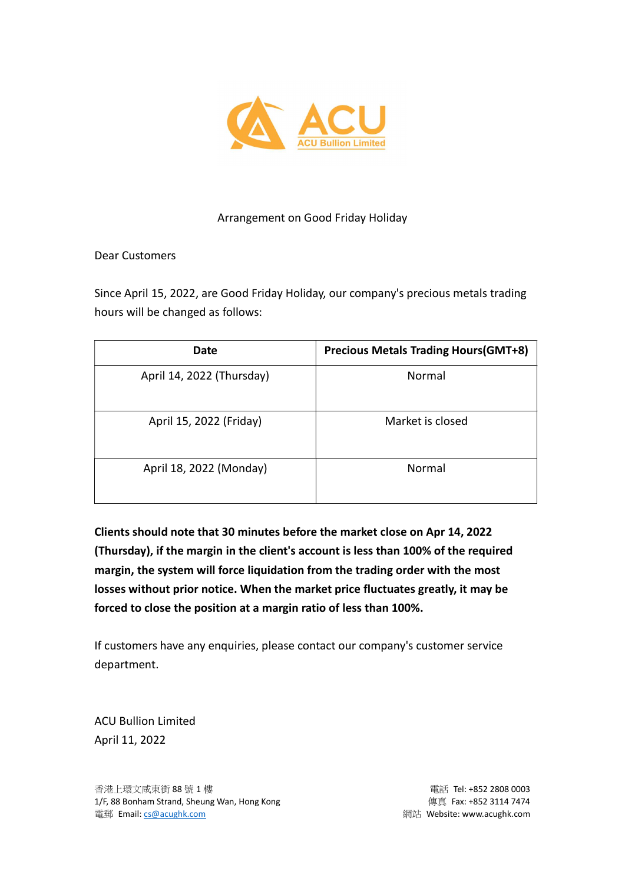

## Arrangement on Good Friday Holiday

Dear Customers

Since April 15, 2022, are Good Friday Holiday, our company's precious metals trading hours will be changed as follows:

| Date                      | <b>Precious Metals Trading Hours (GMT+8)</b> |
|---------------------------|----------------------------------------------|
| April 14, 2022 (Thursday) | Normal                                       |
| April 15, 2022 (Friday)   | Market is closed                             |
| April 18, 2022 (Monday)   | Normal                                       |

Clients should note that 30 minutes before the market close on Apr 14, 2022 (Thursday), if the margin in the client's account is less than 100% of the required margin, the system will force liquidation from the trading order with the most losses without prior notice. When the market price fluctuates greatly, it may be forced to close the position at a margin ratio of less than 100%.

If customers have any enquiries, please contact our company's customer service department.

ACU Bullion Limited April 11, 2022